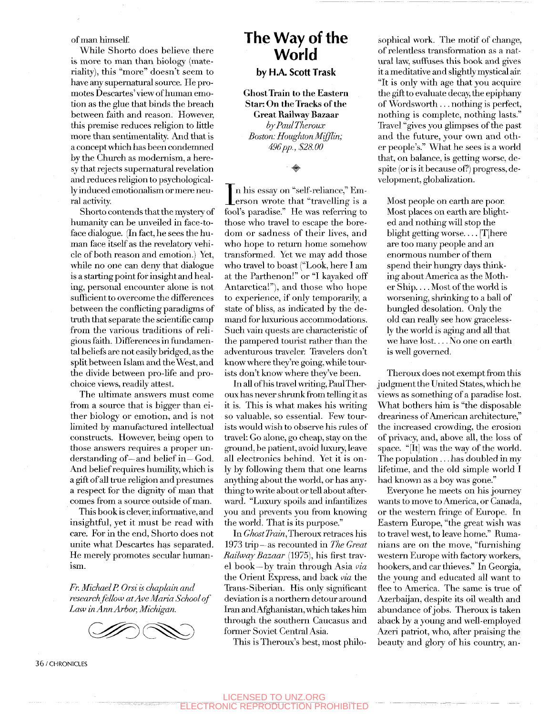of man himself.

While Shorto does believe there is more to man than biology (materiality), this "more" doesn't seem to have any supernatural source. He promotes Descartes'view of human emotion as the glue that binds the breach between faith and reason. However, this premise reduces religion to little more than sentimentality. And that is a concept which has been condemned by the Church as modernism, a heresy that rejects supernatural revelation and reduces religion to psychologically induced emotionalism or mere neural activity.

Shorto contends that the mystery of humanity can be unveiled in face-toface dialogue. (In fact, he sees the human face itself as the revelatory vehicle of both reason and emotion.) Yet, while no one can deny that dialogue is a starting point for insight and healing, personal encounter alone is not sufficient to overcome the differences between the conflicting paradigms of truth that separate the scientific camp from the various traditions of religious faith. Differences in fundamental beliefs are not easily bridged, as the split between Islam and the West, and the divide between pro-life and prochoice views, readily attest.

The ultimate answers must come from a source that is bigger than either biology or emotion, and is not limited by manufactured intellectual constructs. However, being open to those answers requires a proper understanding of—and belief in—God. And belief requires humility, which is a gift of all true religion and presumes a respect for the dignity of man that comes from a source outside of man.

This book is clever, informative, and insightful, yet it must be read with care. For in the end, Shorto does not unite what Descartes has separated. He merely promotes secular humanism.

*Fr. Michael P. Orsi is chaplain and. research fellow at Ave Maria School of Law in Ann Arbor, Michigan.* 

## **The Way of the World**

## by H.A. Scott Trask

**Ghost Train to the Eastern Star: On the Tracks of the Great Railway Bazaar**  *by PaulTheroux Boston: Houghton Mifflin; 496pp., \$28.00* 

In his essay on "self-reliance," Empresson wrote that "travelling is a<br>fool's paradise." He was referring to n his essay on "self-reliance," Emfool's paradise." He was referring to those who travel to escape the boredom or sadness of their lives, and who hope to return home somehow transformed. Yet we may add those who travel to boast ("Look, here I am at the Parthenon!" or "I kayaked off Antarctica!"), and those who hope to experience, if only temporarily, a state of bliss, as indicated by the demand for luxurious accommodations. Such vain quests are characteristic of the pampered tourist rather than the adventurous traveler. Travelers don't know where they're going, while tourists don't know where they've been.

In all of his travel writing, PaulTheroux has never shrunk from telling it as it is. This is what makes his writing so valuable, so essential. Few tourists would wish to observe his rules of travel: Go alone, go cheap, stay on the ground, be patient, avoid luxury, leave all electronics behind. Yet it is only by following them that one learns anything about the world, or has anything to write about or tell about afterward. "Luxury spoils and infantilizes you and prevents you from knowing the world. That is its purpose."

In *Ghost Train*, Theroux retraces his 1973 trip—as recounted in *The Great Railway Bazaar* (1975), his first travel book—by train through Asia *via*  the Orient Express, and back *via* the Trans-Siberian. His only significant deviation is a northern detour around Iran and Afghanistan, which takes him through the southern Caucasus and former Soviet Central Asia.

This is Theroux's best, most philo-

sophical work. The motif of change, of relentless transformation as a natural law, suffuses this book and gives it a meditative and slightly mystical air. "It is only with age that you acquire the gift to evaluate decay, the epiphany of Wordsworth ... nothing is perfect, nothing is complete, nothing lasts." Travel "gives you glimpses of the past and the future, your own and other people's." What he sees is a world that, on balance, is getting worse, despite (or is it because of?) progress, development, globalization.

Most people on earth are poor Most places on earth are blighted and nothing will stop the blight getting worse....  $[T]$ here are too many people and an enormous number of them spend their hungry days thinking about America as the Mother Ship.... Most of the world is worsening, shrinking to a ball of bungled desolation. Only the old can really see how gracelessly the world is aging and all that we have lost.... No one on earth is well governed.

Theroux does not exempt from this judgment the United States, which he views as something of a paradise lost. What bothers him is "the disposable dreariness of American architecture," the increased crowding, the erosion of privacy, and, above all, the loss of space. "[It] was the way of the world. The population... has doubled in my lifetime, and the old simple world I had known as a boy was gone."

Everyone he meets on his journey wants to move to America, or Canada, or the western fringe of Europe. In Eastern Europe, "the great wish was to travel west, to leave home." Rumanians are on the move, "furnishing western Europe with factory workers, hookers, and car thieves." In Georgia, the young and educated all want to flee to America. The same is true of Azerbaijan, despite its oil wealth and abundance of jobs. Theroux is taken aback by a young and well-employed Azeri patriot, who, after praising the beauty and glory of his country, an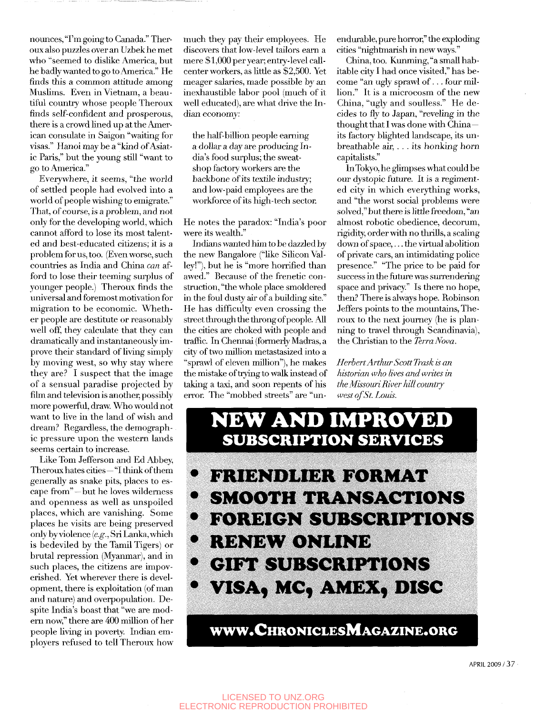nounces, "I'm going to Canada." Theroirx also puzzles over an Uzbek he met who "seemed to dislike America, but he badly wanted to go to America." He finds this a common attitude among Muslims. Even in Vietnam, a beautiful country whose people Theroux finds self-confident and prosperous, there is a crowd lined up at the American consulate in Saigon "waiting for visas." Hanoi may be a "kind of Asiatic Paris," but the young still "want to go to America."

Everywhere, it seems, "the world of settled people had evolved into a world of people wishing to emigrate." That, of course, is a problem, and not only for the developing world, which cannot afford to lose its most talented and best-educated citizens; it is a problem for us, too. (Even worse, such countries as India and China *can* afford to lose their teeming surplus of younger people.) Theroux finds the universal and foremost motivation for migration to be economic. Whether people are destitute or reasonably well off, they calculate that they can dramatically and instantaneously improve their standard of living simply by moving west, so why stay where they are? I suspect that the image of a sensual paradise projected by fihn and television is another, possibly more powerful, draw. Who would not want to live in the land of wish and dream? Regardless, the demographic pressure upon the western lands seems certain to increase.

Like Tom Jefferson and Ed Abbey, Theroux hates cities—"I think of them generally as snake pits, places to escape from"—but he loves wilderness and openness as well as unspoiled places, which are vanishing. Some places he visits are being preserved only by violence (e.g^., Sri Lanka, which is bedeviled by the Tamil Tigers) or brutal repression (Myanmar), and in such places, the citizens are impoverished. Yet wherever there is development, there is exploitation (of man and nature) and overpopulation. Despite India's boast that "we are modern now," there are 400 million of her people living in poverty. Indian employers refused to tell Theroux how

much they pay their employees. He discovers that low-level tailors earn a mere \$1,000 per year; entry-level callcenter workers, as little as \$2,500. Yet meager salaries, made possible by an inexhaustible labor pool (much of it well educated), are what drive the Indian economy:

the half-billion people earning a dollar a day are producing India's food surplus; the sweatshop factory workers are the backbone of its textile industry; and low-paid employees are the workforce of its high-tech sector.

He notes the paradox: "India's poor were its wealth."

Indians wanted him to be dazzled by the new Bangalore ("like Silicon Valley!"), but he is "more horrified than awed." Because of the frenetic construction, "the whole place smoldered in the foul dusty air of a building site." He has difficulty even crossing the street through the throng of people. AH the cities are choked with people and traffic. In Chermai (formerly Madras, a city of two million metastasized into a "sprawl of eleven million"), he makes the mistake of trying to walk instead of taking a taxi, and soon repents of his error. The "mobbed streets" are "unendurable, pure horror," the exploding cities "nightmarish in new ways."

China, too. Kunming, "a small habitable city I had once visited," has become "an ugly sprawl of. .. four million." It is a microcosm of the new China, "ugly and soulless." He decides to fly to Japan, "reveling in the thought that I was done with China its factory blighted landscape, its unbreathable air, .. . its honking horn capitalists."

In Tokyo, he glimpses what could be our dystopic future. It is a regimented city in which everything works, and "the worst social problems were solved," but there is littie freedom, "an almost robotic obedience, decorum, rigidity, order with no thrills, a scaling down of space,... the virtual abolition of private cars, an intimidating police presence." "The price to be paid for success in the future was surrendering space and privacy." Is there no hope, then? There is always hope. Robinson Jeffers points to the mountains, Theroux to the next journey (he is planning to travel through Scandinavia), the Christian to the *Terra Nova.* 

*Herbert Arthur ScottTrask is an historian who Uves and writes in the Missouri River hill country west of St Louis.* 



**VISA, MC, AMEX, DISC** 

WWW. CHRONICLES MAGAZINE.ORG